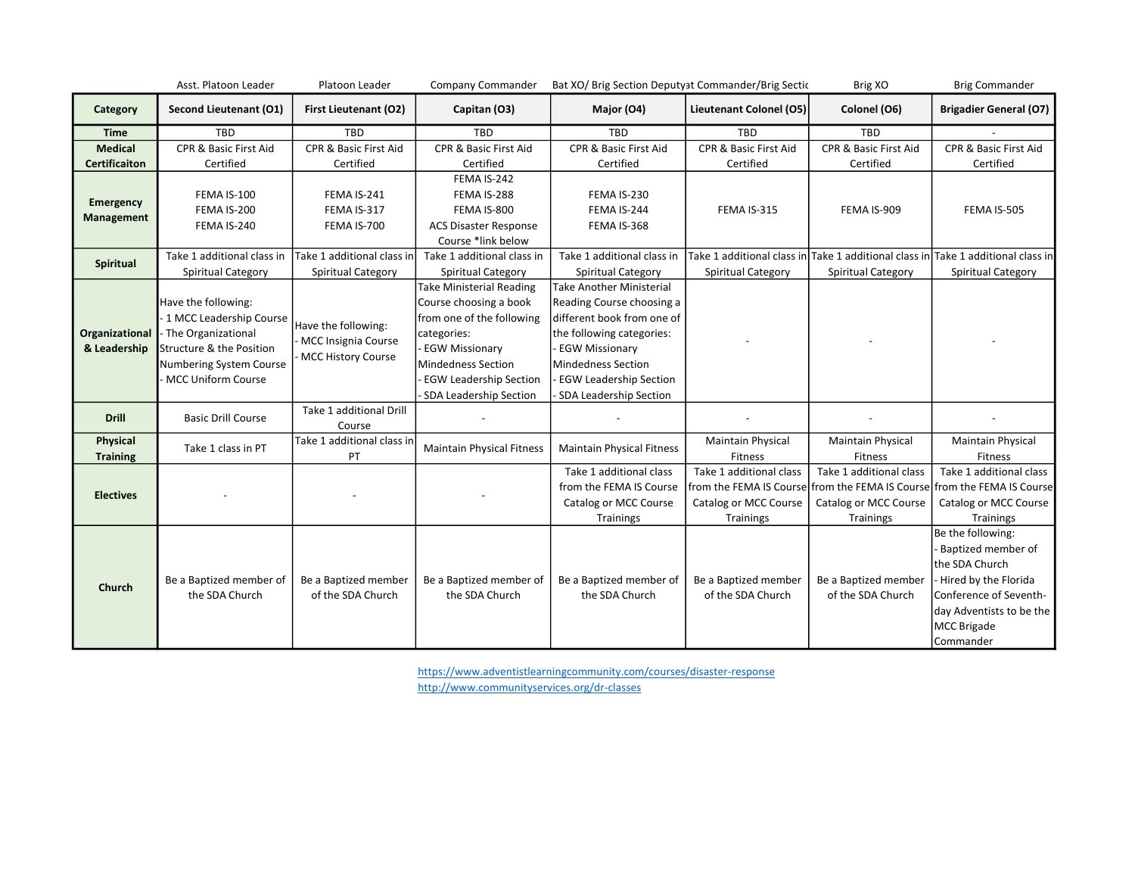|                                        | Asst. Platoon Leader                                                                                                                                                | Platoon Leader                                                       | Company Commander                                                                                                                                                                                                      | Bat XO/ Brig Section Deputyat Commander/Brig Sectic                                                                                                                                                                                      |                                                               | Brig XO                                                       | <b>Brig Commander</b>                                                                                                                                                      |
|----------------------------------------|---------------------------------------------------------------------------------------------------------------------------------------------------------------------|----------------------------------------------------------------------|------------------------------------------------------------------------------------------------------------------------------------------------------------------------------------------------------------------------|------------------------------------------------------------------------------------------------------------------------------------------------------------------------------------------------------------------------------------------|---------------------------------------------------------------|---------------------------------------------------------------|----------------------------------------------------------------------------------------------------------------------------------------------------------------------------|
| Category                               | Second Lieutenant (O1)                                                                                                                                              | <b>First Lieutenant (O2)</b>                                         | Capitan (O3)                                                                                                                                                                                                           | Major (O4)                                                                                                                                                                                                                               | Lieutenant Colonel (O5)                                       | Colonel (O6)                                                  | <b>Brigadier General (O7)</b>                                                                                                                                              |
| <b>Time</b>                            | <b>TBD</b>                                                                                                                                                          | <b>TBD</b>                                                           | TBD                                                                                                                                                                                                                    | <b>TBD</b>                                                                                                                                                                                                                               | <b>TBD</b>                                                    | TBD                                                           |                                                                                                                                                                            |
| <b>Medical</b><br><b>Certificaiton</b> | CPR & Basic First Aid<br>Certified                                                                                                                                  | <b>CPR &amp; Basic First Aid</b><br>Certified                        | CPR & Basic First Aid<br>Certified                                                                                                                                                                                     | <b>CPR &amp; Basic First Aid</b><br>Certified                                                                                                                                                                                            | <b>CPR &amp; Basic First Aid</b><br>Certified                 | CPR & Basic First Aid<br>Certified                            | CPR & Basic First Aid<br>Certified                                                                                                                                         |
| <b>Emergency</b><br>Management         | <b>FEMA IS-100</b><br>FEMA IS-200<br>FEMA IS-240                                                                                                                    | FEMA IS-241<br>FEMA IS-317<br>FEMA IS-700                            | FEMA IS-242<br>FEMA IS-288<br>FEMA IS-800<br><b>ACS Disaster Response</b><br>Course *link below                                                                                                                        | FEMA IS-230<br>FEMA IS-244<br>FEMA IS-368                                                                                                                                                                                                | FEMA IS-315                                                   | FEMA IS-909                                                   | FEMA IS-505                                                                                                                                                                |
| Spiritual                              | Take 1 additional class in<br>Spiritual Category                                                                                                                    | Take 1 additional class in<br>Spiritual Category                     | Take 1 additional class in<br>Spiritual Category                                                                                                                                                                       | Take 1 additional class in<br>Spiritual Category                                                                                                                                                                                         | Spiritual Category                                            | Spiritual Category                                            | Take 1 additional class in Take 1 additional class in Take 1 additional class in<br>Spiritual Category                                                                     |
| Organizational<br>& Leadership         | Have the following:<br>- 1 MCC Leadership Course<br>- The Organizational<br>Structure & the Position<br><b>Numbering System Course</b><br><b>MCC Uniform Course</b> | Have the following:<br>- MCC Insignia Course<br>- MCC History Course | <b>Take Ministerial Reading</b><br>Course choosing a book<br>from one of the following<br>categories:<br><b>EGW Missionary</b><br><b>Mindedness Section</b><br><b>EGW Leadership Section</b><br>SDA Leadership Section | <b>Take Another Ministerial</b><br>Reading Course choosing a<br>different book from one of<br>the following categories:<br><b>EGW Missionary</b><br><b>Mindedness Section</b><br><b>EGW Leadership Section</b><br>SDA Leadership Section |                                                               |                                                               |                                                                                                                                                                            |
| <b>Drill</b>                           | <b>Basic Drill Course</b>                                                                                                                                           | Take 1 additional Drill<br>Course                                    |                                                                                                                                                                                                                        |                                                                                                                                                                                                                                          |                                                               |                                                               |                                                                                                                                                                            |
| Physical<br><b>Training</b>            | Take 1 class in PT                                                                                                                                                  | Take 1 additional class in<br>PT                                     | <b>Maintain Physical Fitness</b>                                                                                                                                                                                       | <b>Maintain Physical Fitness</b>                                                                                                                                                                                                         | <b>Maintain Physical</b><br>Fitness                           | <b>Maintain Physical</b><br>Fitness                           | Maintain Physical<br><b>Fitness</b>                                                                                                                                        |
| <b>Electives</b>                       |                                                                                                                                                                     |                                                                      |                                                                                                                                                                                                                        | Take 1 additional class<br>from the FEMA IS Course<br>Catalog or MCC Course<br>Trainings                                                                                                                                                 | Take 1 additional class<br>Catalog or MCC Course<br>Trainings | Take 1 additional class<br>Catalog or MCC Course<br>Trainings | Take 1 additional class<br>from the FEMA IS Course from the FEMA IS Course from the FEMA IS Course<br>Catalog or MCC Course<br>Trainings                                   |
| Church                                 | Be a Baptized member of<br>the SDA Church                                                                                                                           | Be a Baptized member<br>of the SDA Church                            | Be a Baptized member of<br>the SDA Church                                                                                                                                                                              | Be a Baptized member of<br>the SDA Church                                                                                                                                                                                                | Be a Baptized member<br>of the SDA Church                     | Be a Baptized member<br>of the SDA Church                     | Be the following:<br>Baptized member of<br>the SDA Church<br>Hired by the Florida<br>Conference of Seventh-<br>day Adventists to be the<br><b>MCC Brigade</b><br>Commander |

https://www.adventistlearningcommunity.com/courses/disaster-response

http://www.communityservices.org/dr-classes